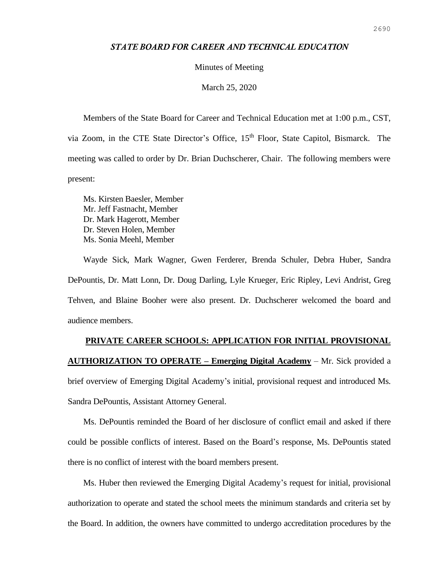## *STATE BOARD FOR CAREER AND TECHNICAL EDUCATION*

#### Minutes of Meeting

### March 25, 2020

Members of the State Board for Career and Technical Education met at 1:00 p.m., CST, via Zoom, in the CTE State Director's Office, 15<sup>th</sup> Floor, State Capitol, Bismarck. The meeting was called to order by Dr. Brian Duchscherer, Chair. The following members were present:

Ms. Kirsten Baesler, Member Mr. Jeff Fastnacht, Member Dr. Mark Hagerott, Member Dr. Steven Holen, Member Ms. Sonia Meehl, Member

Wayde Sick, Mark Wagner, Gwen Ferderer, Brenda Schuler, Debra Huber, Sandra DePountis, Dr. Matt Lonn, Dr. Doug Darling, Lyle Krueger, Eric Ripley, Levi Andrist, Greg Tehven, and Blaine Booher were also present. Dr. Duchscherer welcomed the board and audience members.

# **PRIVATE CAREER SCHOOLS: APPLICATION FOR INITIAL PROVISIONAL AUTHORIZATION TO OPERATE – Emerging Digital Academy** – Mr. Sick provided a brief overview of Emerging Digital Academy's initial, provisional request and introduced Ms. Sandra DePountis, Assistant Attorney General.

Ms. DePountis reminded the Board of her disclosure of conflict email and asked if there could be possible conflicts of interest. Based on the Board's response, Ms. DePountis stated there is no conflict of interest with the board members present.

Ms. Huber then reviewed the Emerging Digital Academy's request for initial, provisional authorization to operate and stated the school meets the minimum standards and criteria set by the Board. In addition, the owners have committed to undergo accreditation procedures by the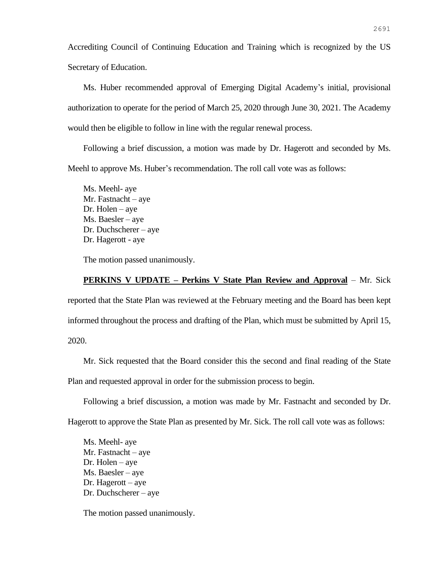Accrediting Council of Continuing Education and Training which is recognized by the US Secretary of Education.

Ms. Huber recommended approval of Emerging Digital Academy's initial, provisional authorization to operate for the period of March 25, 2020 through June 30, 2021. The Academy would then be eligible to follow in line with the regular renewal process.

Following a brief discussion, a motion was made by Dr. Hagerott and seconded by Ms. Meehl to approve Ms. Huber's recommendation. The roll call vote was as follows:

Ms. Meehl- aye Mr. Fastnacht – aye Dr. Holen – aye Ms. Baesler – aye Dr. Duchscherer – aye Dr. Hagerott - aye

The motion passed unanimously.

### **PERKINS V UPDATE – Perkins V State Plan Review and Approval** – Mr. Sick

reported that the State Plan was reviewed at the February meeting and the Board has been kept informed throughout the process and drafting of the Plan, which must be submitted by April 15, 2020.

Mr. Sick requested that the Board consider this the second and final reading of the State Plan and requested approval in order for the submission process to begin.

Following a brief discussion, a motion was made by Mr. Fastnacht and seconded by Dr.

Hagerott to approve the State Plan as presented by Mr. Sick. The roll call vote was as follows:

Ms. Meehl- aye Mr. Fastnacht – aye Dr. Holen – aye Ms. Baesler – aye Dr. Hagerott – aye Dr. Duchscherer – aye

The motion passed unanimously.